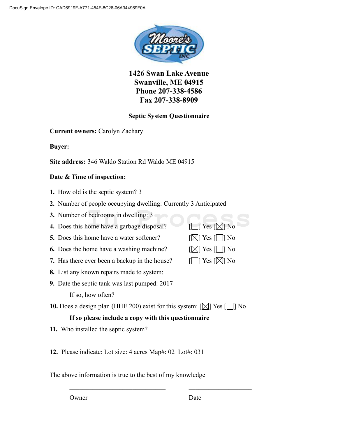

**1426 Swan Lake Avenue Swanville, ME 04915 Phone 207-338-4586 Fax 207-338-8909**

## **Septic System Questionnaire**

**Current owners:** Carolyn Zachary

**Buyer:** 

**Site address:** 346 Waldo Station Rd Waldo ME 04915

#### **Date & Time of inspection:**

- **1.** How old is the septic system? 3
- **2.** Number of people occupying dwelling: Currently 3 Anticipated
- **3.** Number of bedrooms in dwelling: 3

**3.** Number of bedrooms in dwelling: 3<br> **4.** Does this home have a garbage disposal?  $[\Box]$  Yes  $[\boxtimes]$  No

- **5.** Does this home have a water softener?  $\lceil \boxtimes \rceil$  Yes  $\lceil \square \rceil$  No
- **6.** Does the home have a washing machine?  $[ \times ]$  Yes  $[ \cdot ]$  No
- **7.** Has there ever been a backup in the house?  $\Box$  Yes  $[\Box]$  No
- **8.** List any known repairs made to system:
- **9.** Date the septic tank was last pumped: 2017 If so, how often?

**10.** Does a design plan (HHE 200) exist for this system:  $\lfloor \sqrt{\frac{1}{2}} \rfloor$  Yes  $\lfloor \frac{1}{2} \rfloor$  No

## **If so please include a copy with this questionnaire**

**11.** Who installed the septic system?

**12.** Please indicate: Lot size: 4 acres Map#: 02 Lot#: 031

The above information is true to the best of my knowledge

Owner Date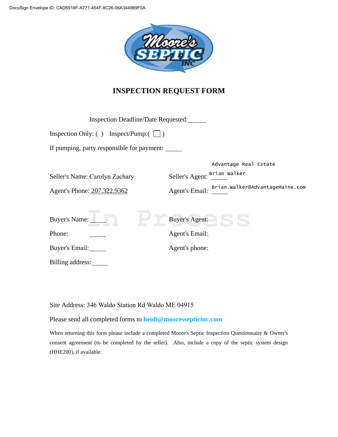

# **INSPECTION REQUEST FORM**

| <b>Inspection Deadline/Date Requested:</b>                    |                                                                                                                     |  |
|---------------------------------------------------------------|---------------------------------------------------------------------------------------------------------------------|--|
| Inspection Only: () Inspect/Pump: $(\Box)$                    |                                                                                                                     |  |
| If pumping, party responsible for payment:                    |                                                                                                                     |  |
| Seller's Name: Carolyn Zachary<br>Agent's Phone: 207.322.9362 | Advantage Real Estate<br>Seller's Agent: <sup>Brian</sup> Walker<br>Agent's Email: Brian. walker@AdvantageMaine.com |  |
| Buyer's Name:                                                 | <b>Buyer's Agent:</b>                                                                                               |  |
| Phone:                                                        | Agent's Email:                                                                                                      |  |
| Buyer's Email:                                                | Agent's phone:                                                                                                      |  |
| Billing address:                                              |                                                                                                                     |  |

Site Address: 346 Waldo Station Rd Waldo ME 04915

Please send all completed forms to **heidi@mooressepticinc.com**

When returning this form please include a completed Moore's Septic Inspection Questionnaire & Owner's consent agreement (to be completed by the seller). Also, include a copy of the septic system design (HHE200), if available.